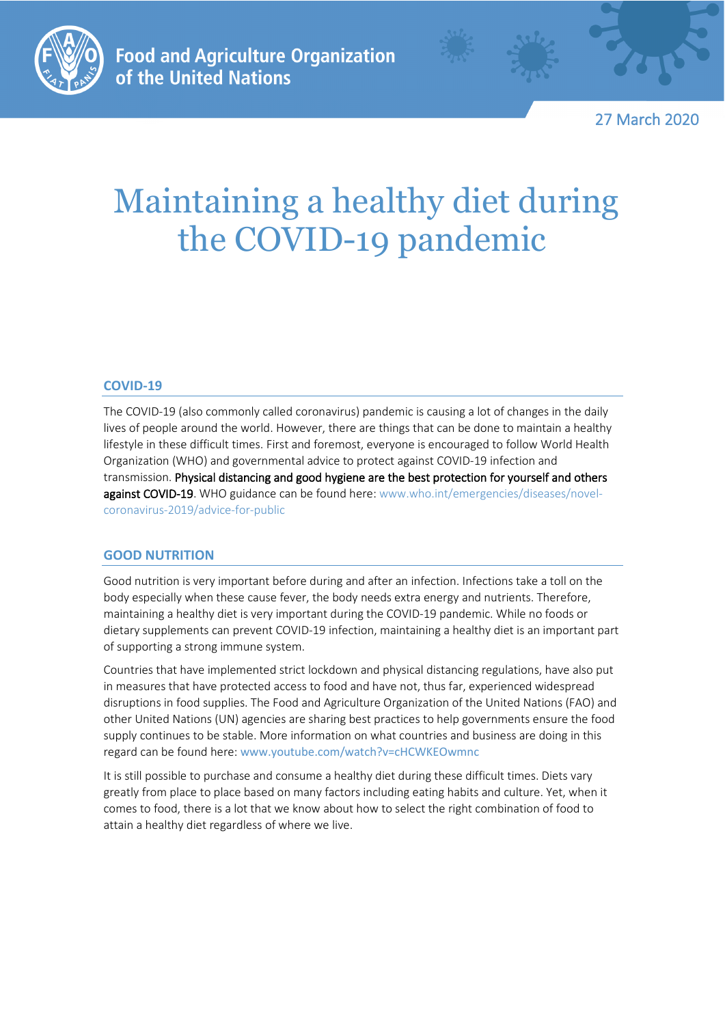

27 March 2020

## Maintaining a healthy diet during the COVID-19 pandemic

## **COVID-19**

The COVID-19 (also commonly called coronavirus) pandemic is causing a lot of changes in the daily lives of people around the world. However, there are things that can be done to maintain a healthy lifestyle in these difficult times. First and foremost, everyone is encouraged to follow World Health Organization (WHO) and governmental advice to protect against COVID-19 infection and transmission. Physical distancing and good hygiene are the best protection for yourself and others against COVID-19. WHO guidance can be found here[: www.who.int/emergencies/diseases/novel](http://www.who.int/emergencies/diseases/novel-coronavirus-2019/advice-for-public)[coronavirus-2019/advice-for-public](http://www.who.int/emergencies/diseases/novel-coronavirus-2019/advice-for-public)

## **GOOD NUTRITION**

Good nutrition is very important before during and after an infection. Infections take a toll on the body especially when these cause fever, the body needs extra energy and nutrients. Therefore, maintaining a healthy diet is very important during the COVID-19 pandemic. While no foods or dietary supplements can prevent COVID-19 infection, maintaining a healthy diet is an important part of supporting a strong immune system.

Countries that have implemented strict lockdown and physical distancing regulations, have also put in measures that have protected access to food and have not, thus far, experienced widespread disruptions in food supplies. The Food and Agriculture Organization of the United Nations (FAO) and other United Nations (UN) agencies are sharing best practices to help governments ensure the food supply continues to be stable. More information on what countries and business are doing in this regard can be found here: [www.youtube.com/watch?v=cHCWKEOwmnc](http://www.youtube.com/watch?v=cHCWKEOwmnc)

It is still possible to purchase and consume a healthy diet during these difficult times. Diets vary greatly from place to place based on many factors including eating habits and culture. Yet, when it comes to food, there is a lot that we know about how to select the right combination of food to attain a healthy diet regardless of where we live.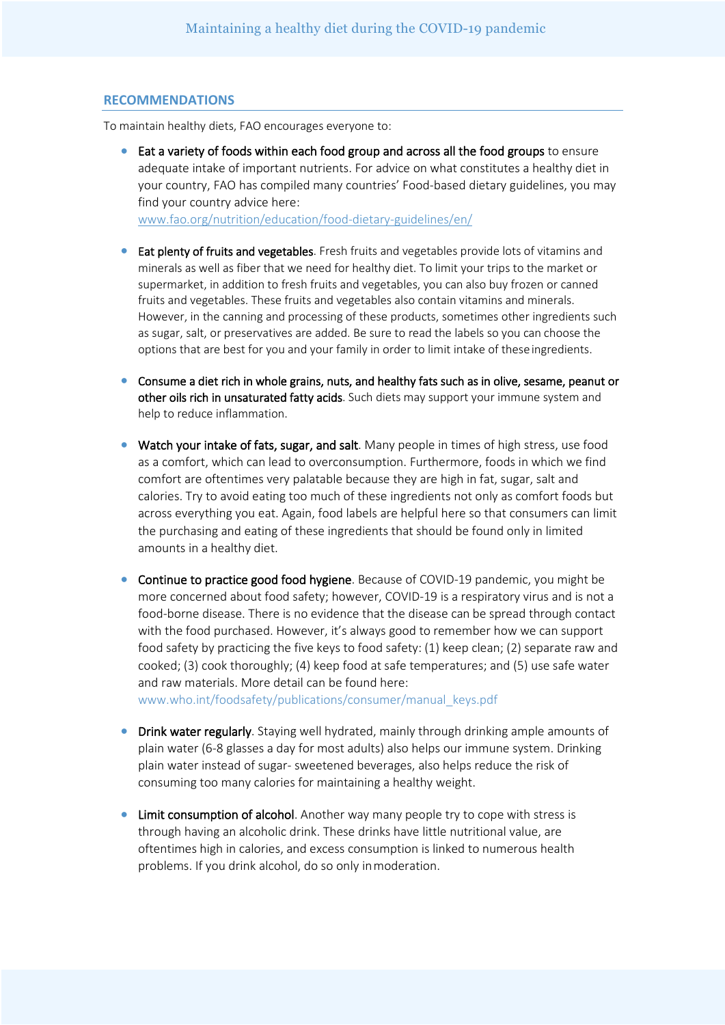## **RECOMMENDATIONS**

To maintain healthy diets, FAO encourages everyone to:

• Eat a variety of foods within each food group and across all the food groups to ensure adequate intake of important nutrients. For advice on what constitutes a healthy diet in your country, FAO has compiled many countries' Food-based dietary guidelines, you may find your country advice here:

www.fao.org/nutrition/education/food-dietary-guidelines/en/

- Eat plenty of fruits and vegetables. Fresh fruits and vegetables provide lots of vitamins and minerals as well as fiber that we need for healthy diet. To limit your trips to the market or supermarket, in addition to fresh fruits and vegetables, you can also buy frozen or canned fruits and vegetables. These fruits and vegetables also contain vitamins and minerals. However, in the canning and processing of these products, sometimes other ingredients such as sugar, salt, or preservatives are added. Be sure to read the labels so you can choose the options that are best for you and your family in order to limit intake of theseingredients.
- Consume a diet rich in whole grains, nuts, and healthy fats such as in olive, sesame, peanut or other oils rich in unsaturated fatty acids. Such diets may support your immune system and help to reduce inflammation.
- Watch your intake of fats, sugar, and salt. Many people in times of high stress, use food as a comfort, which can lead to overconsumption. Furthermore, foods in which we find comfort are oftentimes very palatable because they are high in fat, sugar, salt and calories. Try to avoid eating too much of these ingredients not only as comfort foods but across everything you eat. Again, food labels are helpful here so that consumers can limit the purchasing and eating of these ingredients that should be found only in limited amounts in a healthy diet.
- Continue to practice good food hygiene. Because of COVID-19 pandemic, you might be more concerned about food safety; however, COVID-19 is a respiratory virus and is not a food-borne disease. There is no evidence that the disease can be spread through contact with the food purchased. However, it's always good to remember how we can support food safety by practicing the five keys to food safety: (1) keep clean; (2) separate raw and cooked; (3) cook thoroughly; (4) keep food at safe temperatures; and (5) use safe water and raw materials. More detail can be found here[:](http://www.who.int/foodsafety/publications/consumer/manual_keys.pdf) [www.who.int/foodsafety/publications/consumer/manual\\_keys.pdf](http://www.who.int/foodsafety/publications/consumer/manual_keys.pdf)
- Drink water regularly. Staying well hydrated, mainly through drinking ample amounts of plain water (6-8 glasses a day for most adults) also helps our immune system. Drinking plain water instead of sugar- sweetened beverages, also helps reduce the risk of consuming too many calories for maintaining a healthy weight.
- Limit consumption of alcohol. Another way many people try to cope with stress is through having an alcoholic drink. These drinks have little nutritional value, are oftentimes high in calories, and excess consumption is linked to numerous health problems. If you drink alcohol, do so only inmoderation.